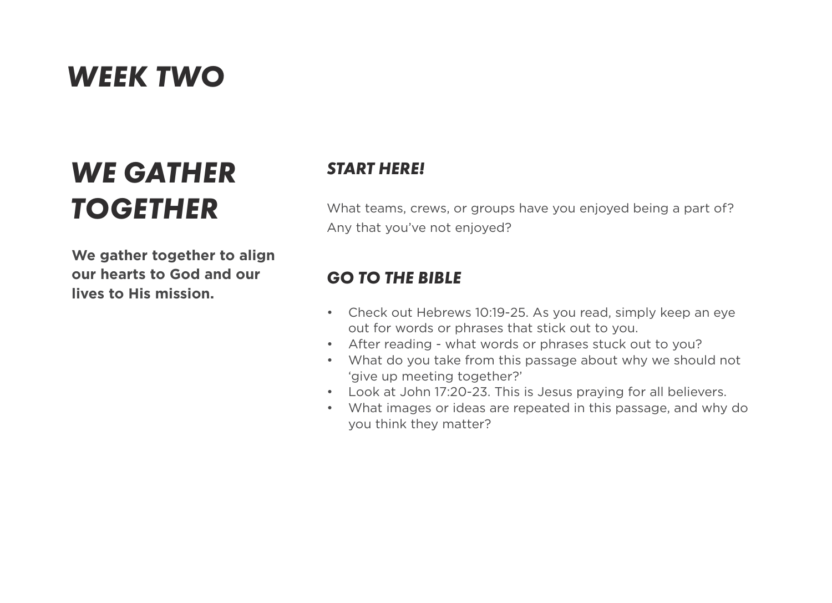## *WEEK TWO*

# *WE GATHER TOGETHER*

**We gather together to align our hearts to God and our lives to His mission.**

#### *START HERE!*

What teams, crews, or groups have you enjoyed being a part of? Any that you've not enjoyed?

#### *GO TO THE BIBLE*

- Check out Hebrews 10:19-25. As you read, simply keep an eye out for words or phrases that stick out to you.
- After reading what words or phrases stuck out to you?
- What do you take from this passage about why we should not 'give up meeting together?'
- Look at John 17:20-23. This is Jesus praying for all believers.
- What images or ideas are repeated in this passage, and why do you think they matter?